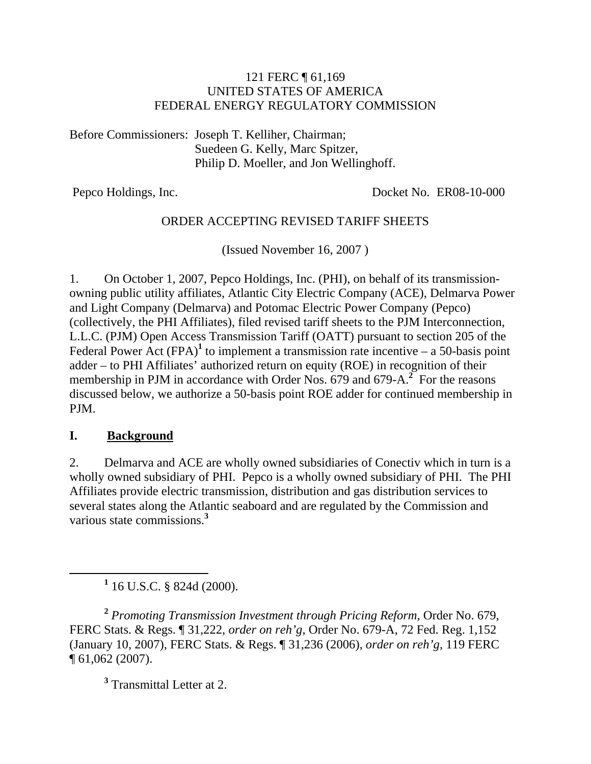#### 121 FERC ¶ 61,169 UNITED STATES OF AMERICA FEDERAL ENERGY REGULATORY COMMISSION

Before Commissioners: Joseph T. Kelliher, Chairman; Suedeen G. Kelly, Marc Spitzer, Philip D. Moeller, and Jon Wellinghoff.

Pepco Holdings, Inc. Docket No. ER08-10-000

### ORDER ACCEPTING REVISED TARIFF SHEETS

(Issued November 16, 2007 )

1. On October 1, 2007, Pepco Holdings, Inc. (PHI), on behalf of its transmissionowning public utility affiliates, Atlantic City Electric Company (ACE), Delmarva Power and Light Company (Delmarva) and Potomac Electric Power Company (Pepco) (collectively, the PHI Affiliates), filed revised tariff sheets to the PJM Interconnection, L.L.C. (PJM) Open Access Transmission Tariff (OATT) pursuant to section 205 of the Federal Power  $\text{Act}$  (FPA)<sup>1</sup> to implement a transmission rate incentive – a 50-basis point adder – to PHI Affiliates' authorized return on equity (ROE) in recognition of their membership in PJM in accordance with Order Nos. 679 and 679-A.<sup>2</sup> For the reasons discussed below, we authorize a 50-basis point ROE adder for continued membership in PJM.

### **I. Background**

2. Delmarva and ACE are wholly owned subsidiaries of Conectiv which in turn is a wholly owned subsidiary of PHI. Pepco is a wholly owned subsidiary of PHI. The PHI Affiliates provide electric transmission, distribution and gas distribution services to several states along the Atlantic seaboard and are regulated by the Commission and various state commissions.**<sup>3</sup>**

<u>1</u>  $1$  16 U.S.C. § 824d (2000).

**<sup>2</sup>** *Promoting Transmission Investment through Pricing Reform*, Order No. 679, FERC Stats. & Regs. ¶ 31,222, *order on reh'g*, Order No. 679-A, 72 Fed. Reg. 1,152 (January 10, 2007), FERC Stats. & Regs. ¶ 31,236 (2006), *order on reh'g*, 119 FERC ¶ 61,062 (2007).

**3** Transmittal Letter at 2.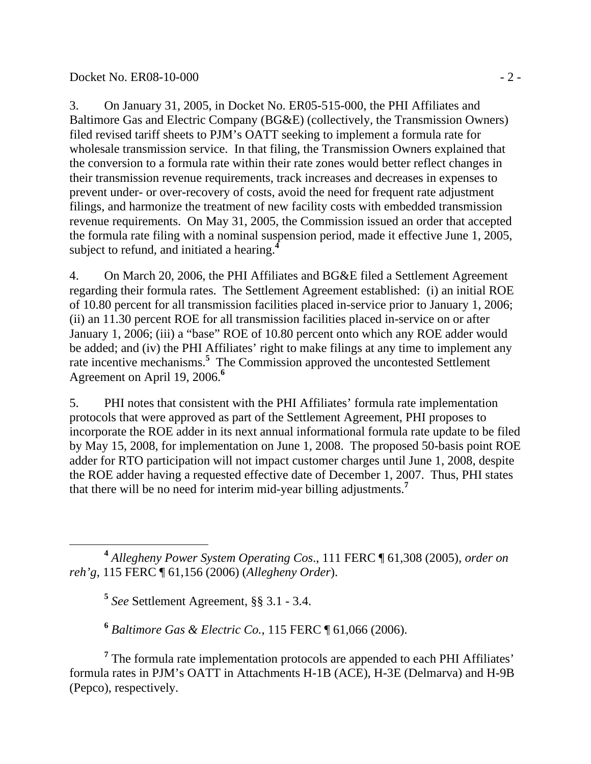#### Docket No. ER08-10-000 - 2 -

3. On January 31, 2005, in Docket No. ER05-515-000, the PHI Affiliates and Baltimore Gas and Electric Company (BG&E) (collectively, the Transmission Owners) filed revised tariff sheets to PJM's OATT seeking to implement a formula rate for wholesale transmission service. In that filing, the Transmission Owners explained that the conversion to a formula rate within their rate zones would better reflect changes in their transmission revenue requirements, track increases and decreases in expenses to prevent under- or over-recovery of costs, avoid the need for frequent rate adjustment filings, and harmonize the treatment of new facility costs with embedded transmission revenue requirements. On May 31, 2005, the Commission issued an order that accepted the formula rate filing with a nominal suspension period, made it effective June 1, 2005, subject to refund, and initiated a hearing.**<sup>4</sup>**

4. On March 20, 2006, the PHI Affiliates and BG&E filed a Settlement Agreement regarding their formula rates. The Settlement Agreement established: (i) an initial ROE of 10.80 percent for all transmission facilities placed in-service prior to January 1, 2006; (ii) an 11.30 percent ROE for all transmission facilities placed in-service on or after January 1, 2006; (iii) a "base" ROE of 10.80 percent onto which any ROE adder would be added; and (iv) the PHI Affiliates' right to make filings at any time to implement any rate incentive mechanisms.<sup>5</sup> The Commission approved the uncontested Settlement Agreement on April 19, 2006.**<sup>6</sup>**

5. PHI notes that consistent with the PHI Affiliates' formula rate implementation protocols that were approved as part of the Settlement Agreement, PHI proposes to incorporate the ROE adder in its next annual informational formula rate update to be filed by May 15, 2008, for implementation on June 1, 2008. The proposed 50-basis point ROE adder for RTO participation will not impact customer charges until June 1, 2008, despite the ROE adder having a requested effective date of December 1, 2007. Thus, PHI states that there will be no need for interim mid-year billing adjustments.**<sup>7</sup>**

 **<sup>4</sup>** *Allegheny Power System Operating Cos*., 111 FERC ¶ 61,308 (2005), *order on reh'g*, 115 FERC ¶ 61,156 (2006) (*Allegheny Order*).

**<sup>5</sup>** *See* Settlement Agreement, §§ 3.1 - 3.4.

**<sup>6</sup>** *Baltimore Gas & Electric Co.*, 115 FERC ¶ 61,066 (2006).

<sup>7</sup> The formula rate implementation protocols are appended to each PHI Affiliates' formula rates in PJM's OATT in Attachments H-1B (ACE), H-3E (Delmarva) and H-9B (Pepco), respectively.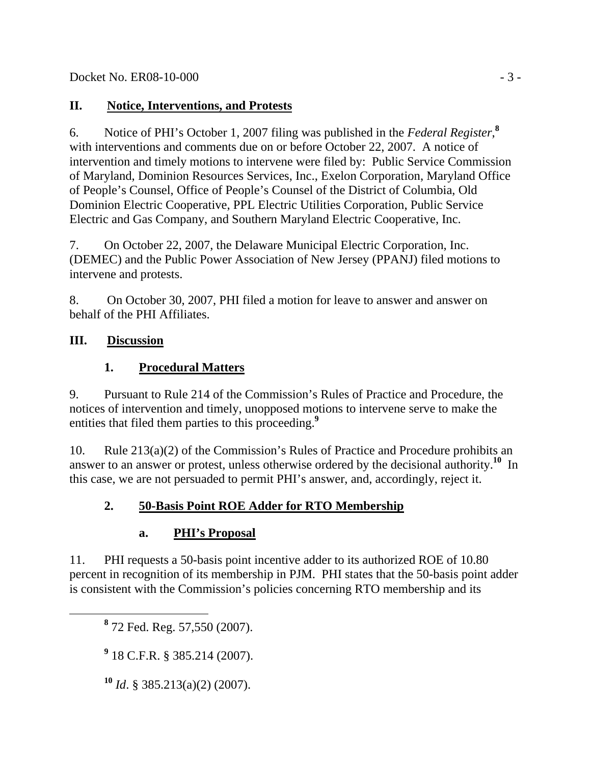## **II. Notice, Interventions, and Protests**

6. Notice of PHI's October 1, 2007 filing was published in the *Federal Register*, **8** with interventions and comments due on or before October 22, 2007. A notice of intervention and timely motions to intervene were filed by: Public Service Commission of Maryland, Dominion Resources Services, Inc., Exelon Corporation, Maryland Office of People's Counsel, Office of People's Counsel of the District of Columbia, Old Dominion Electric Cooperative, PPL Electric Utilities Corporation, Public Service Electric and Gas Company, and Southern Maryland Electric Cooperative, Inc.

7. On October 22, 2007, the Delaware Municipal Electric Corporation, Inc. (DEMEC) and the Public Power Association of New Jersey (PPANJ) filed motions to intervene and protests.

8. On October 30, 2007, PHI filed a motion for leave to answer and answer on behalf of the PHI Affiliates.

## **III. Discussion**

# **1. Procedural Matters**

9. Pursuant to Rule 214 of the Commission's Rules of Practice and Procedure, the notices of intervention and timely, unopposed motions to intervene serve to make the entities that filed them parties to this proceeding.**<sup>9</sup>**

10. Rule 213(a)(2) of the Commission's Rules of Practice and Procedure prohibits an answer to an answer or protest, unless otherwise ordered by the decisional authority.**<sup>10</sup>** In this case, we are not persuaded to permit PHI's answer, and, accordingly, reject it.

# **2. 50-Basis Point ROE Adder for RTO Membership**

# **a. PHI's Proposal**

11. PHI requests a 50-basis point incentive adder to its authorized ROE of 10.80 percent in recognition of its membership in PJM. PHI states that the 50-basis point adder is consistent with the Commission's policies concerning RTO membership and its

 **<sup>8</sup>** 72 Fed. Reg. 57,550 (2007).

**9** 18 C.F.R. § 385.214 (2007).

**<sup>10</sup>** *Id*. § 385.213(a)(2) (2007).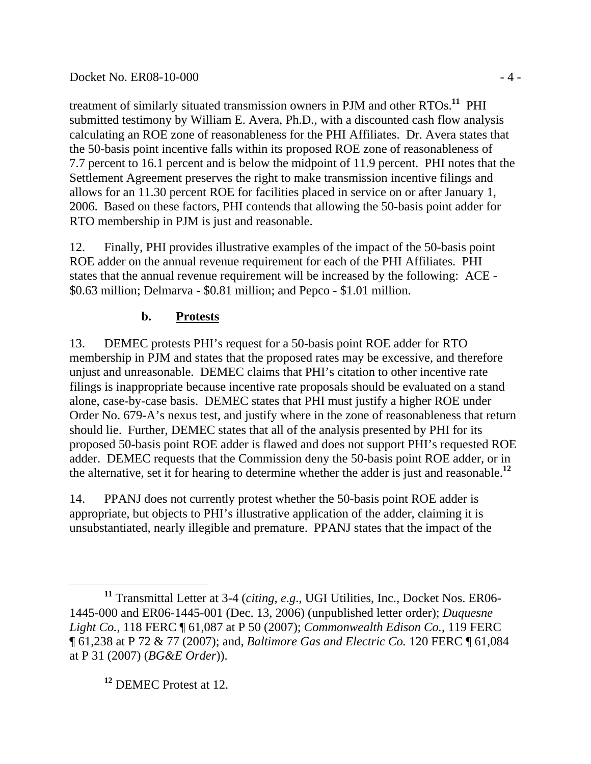### Docket No. ER08-10-000 - 4 -

treatment of similarly situated transmission owners in PJM and other RTOs.**<sup>11</sup>** PHI submitted testimony by William E. Avera, Ph.D., with a discounted cash flow analysis calculating an ROE zone of reasonableness for the PHI Affiliates. Dr. Avera states that the 50-basis point incentive falls within its proposed ROE zone of reasonableness of 7.7 percent to 16.1 percent and is below the midpoint of 11.9 percent. PHI notes that the Settlement Agreement preserves the right to make transmission incentive filings and allows for an 11.30 percent ROE for facilities placed in service on or after January 1, 2006. Based on these factors, PHI contends that allowing the 50-basis point adder for RTO membership in PJM is just and reasonable.

12. Finally, PHI provides illustrative examples of the impact of the 50-basis point ROE adder on the annual revenue requirement for each of the PHI Affiliates. PHI states that the annual revenue requirement will be increased by the following: ACE - \$0.63 million; Delmarva - \$0.81 million; and Pepco - \$1.01 million.

## **b. Protests**

13. DEMEC protests PHI's request for a 50-basis point ROE adder for RTO membership in PJM and states that the proposed rates may be excessive, and therefore unjust and unreasonable. DEMEC claims that PHI's citation to other incentive rate filings is inappropriate because incentive rate proposals should be evaluated on a stand alone, case-by-case basis. DEMEC states that PHI must justify a higher ROE under Order No. 679-A's nexus test, and justify where in the zone of reasonableness that return should lie. Further, DEMEC states that all of the analysis presented by PHI for its proposed 50-basis point ROE adder is flawed and does not support PHI's requested ROE adder. DEMEC requests that the Commission deny the 50-basis point ROE adder, or in the alternative, set it for hearing to determine whether the adder is just and reasonable.**<sup>12</sup>**

14. PPANJ does not currently protest whether the 50-basis point ROE adder is appropriate, but objects to PHI's illustrative application of the adder, claiming it is unsubstantiated, nearly illegible and premature. PPANJ states that the impact of the

**<sup>12</sup>** DEMEC Protest at 12.

**<sup>11</sup>** Transmittal Letter at 3-4 (*citing, e*.*g*., UGI Utilities, Inc., Docket Nos. ER06- 1445-000 and ER06-1445-001 (Dec. 13, 2006) (unpublished letter order); *Duquesne Light Co.*, 118 FERC ¶ 61,087 at P 50 (2007); *Commonwealth Edison Co.*, 119 FERC ¶ 61,238 at P 72 & 77 (2007); and, *Baltimore Gas and Electric Co.* 120 FERC ¶ 61,084 at P 31 (2007) (*BG&E Order*)).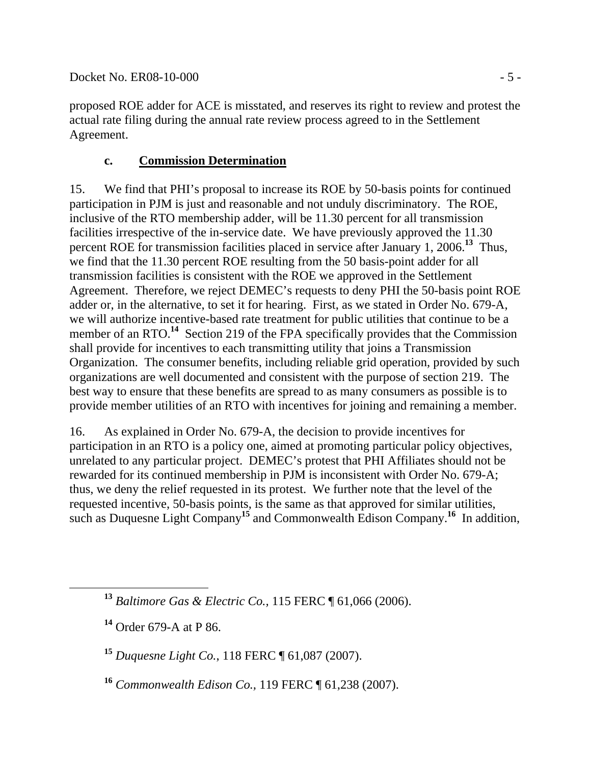Docket No. ER08-10-000 - 5 -

proposed ROE adder for ACE is misstated, and reserves its right to review and protest the actual rate filing during the annual rate review process agreed to in the Settlement Agreement.

### **c. Commission Determination**

15. We find that PHI's proposal to increase its ROE by 50-basis points for continued participation in PJM is just and reasonable and not unduly discriminatory. The ROE, inclusive of the RTO membership adder, will be 11.30 percent for all transmission facilities irrespective of the in-service date. We have previously approved the 11.30 percent ROE for transmission facilities placed in service after January 1, 2006.**<sup>13</sup>** Thus, we find that the 11.30 percent ROE resulting from the 50 basis-point adder for all transmission facilities is consistent with the ROE we approved in the Settlement Agreement. Therefore, we reject DEMEC's requests to deny PHI the 50-basis point ROE adder or, in the alternative, to set it for hearing. First, as we stated in Order No. 679-A, we will authorize incentive-based rate treatment for public utilities that continue to be a member of an RTO.<sup>14</sup> Section 219 of the FPA specifically provides that the Commission shall provide for incentives to each transmitting utility that joins a Transmission Organization. The consumer benefits, including reliable grid operation, provided by such organizations are well documented and consistent with the purpose of section 219. The best way to ensure that these benefits are spread to as many consumers as possible is to provide member utilities of an RTO with incentives for joining and remaining a member.

16. As explained in Order No. 679-A, the decision to provide incentives for participation in an RTO is a policy one, aimed at promoting particular policy objectives, unrelated to any particular project. DEMEC's protest that PHI Affiliates should not be rewarded for its continued membership in PJM is inconsistent with Order No. 679-A; thus, we deny the relief requested in its protest. We further note that the level of the requested incentive, 50-basis points, is the same as that approved for similar utilities, such as Duquesne Light Company**<sup>15</sup>** and Commonwealth Edison Company.**<sup>16</sup>** In addition,

**<sup>13</sup>** *Baltimore Gas & Electric Co.,* 115 FERC ¶ 61,066 (2006).

**<sup>14</sup>** Order 679-A at P 86.

**<sup>15</sup>** *Duquesne Light Co.*, 118 FERC ¶ 61,087 (2007).

**<sup>16</sup>** *Commonwealth Edison Co.,* 119 FERC ¶ 61,238 (2007).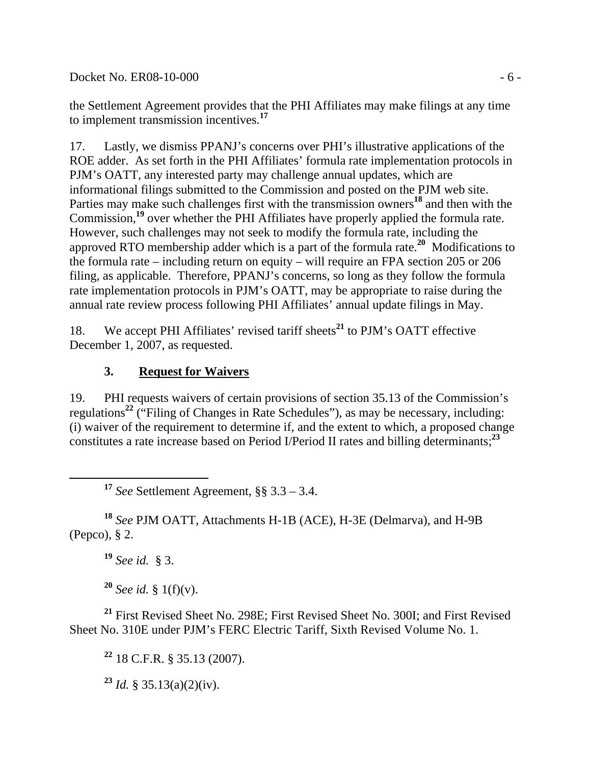Docket No. ER08-10-000 - 6 -

the Settlement Agreement provides that the PHI Affiliates may make filings at any time to implement transmission incentives.**<sup>17</sup>**

17. Lastly, we dismiss PPANJ's concerns over PHI's illustrative applications of the ROE adder. As set forth in the PHI Affiliates' formula rate implementation protocols in PJM's OATT, any interested party may challenge annual updates, which are informational filings submitted to the Commission and posted on the PJM web site. Parties may make such challenges first with the transmission owners<sup>18</sup> and then with the Commission,**<sup>19</sup>** over whether the PHI Affiliates have properly applied the formula rate. However, such challenges may not seek to modify the formula rate, including the approved RTO membership adder which is a part of the formula rate.**<sup>20</sup>** Modifications to the formula rate – including return on equity – will require an FPA section 205 or 206 filing, as applicable. Therefore, PPANJ's concerns, so long as they follow the formula rate implementation protocols in PJM's OATT, may be appropriate to raise during the annual rate review process following PHI Affiliates' annual update filings in May.

18. We accept PHI Affiliates' revised tariff sheets**<sup>21</sup>** to PJM's OATT effective December 1, 2007, as requested.

## **3. Request for Waivers**

19. PHI requests waivers of certain provisions of section 35.13 of the Commission's regulations**<sup>22</sup>** ("Filing of Changes in Rate Schedules"), as may be necessary, including: (i) waiver of the requirement to determine if, and the extent to which, a proposed change constitutes a rate increase based on Period I/Period II rates and billing determinants;**<sup>23</sup>**

**<sup>17</sup>** *See* Settlement Agreement, §§ 3.3 – 3.4.

**<sup>18</sup>** *See* PJM OATT, Attachments H-1B (ACE), H-3E (Delmarva), and H-9B (Pepco), § 2.

**<sup>19</sup>** *See id.* § 3.

**<sup>20</sup>** *See id.* § 1(f)(v).

**<sup>21</sup>** First Revised Sheet No. 298E; First Revised Sheet No. 300I; and First Revised Sheet No. 310E under PJM's FERC Electric Tariff, Sixth Revised Volume No. 1.

**<sup>22</sup>** 18 C.F.R. § 35.13 (2007).

 $23$  *Id.* § 35.13(a)(2)(iv).